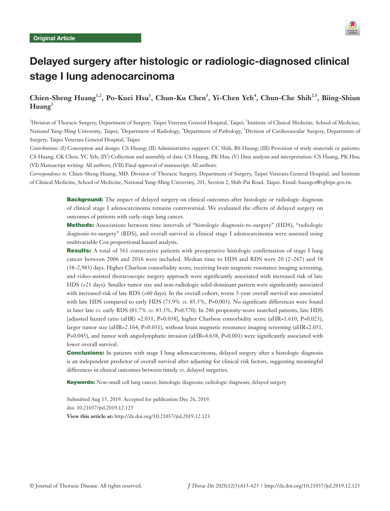

# Delayed surgery after histologic or radiologic-diagnosed clinical stage I lung adenocarcinoma

# **Chien-Sheng Huang1,2, Po-Kuei Hsu1 , Chun-Ku Chen<sup>3</sup> , Yi-Chen Yeh<sup>4</sup> , Chun-Che Shih2,5, Biing-Shiun Huang1**

<sup>1</sup>Division of Thoracic Surgery, Department of Surgery, Taipei Veterans General Hospital, Taipei; <sup>2</sup>Institute of Clinical Medicine, School of Medicine, National Yang-Ming University, Taipei; <sup>3</sup>Department of Radiology, <sup>4</sup>Department of Pathology, <sup>5</sup>Division of Cardiovascular Surgery, Department of Surgery, Taipei Veterans General Hospital, Taipei

*Contributions:* (I) Conception and design: CS Huang; (II) Administrative support: CC Shih, BS Huang; (III) Provision of study materials or patients: CS Huang, CK Chen, YC Yeh; (IV) Collection and assembly of data: CS Huang, PK Hsu; (V) Data analysis and interpretation: CS Huang, PK Hsu; (VI) Manuscript writing: All authors; (VII) Final approval of manuscript: All authors.

*Correspondence to:* Chien-Sheng Huang, MD. Division of Thoracic Surgery, Department of Surgery, Taipei Veterans General Hospital, and Institute of Clinical Medicine, School of Medicine, National Yang-Ming University, 201, Section 2, Shih-Pai Road, Taipei. Email: huangcs@vghtpe.gov.tw.

> **Background:** The impact of delayed surgery on clinical outcomes after histologic or radiologic diagnosis of clinical stage I adenocarcinoma remains controversial. We evaluated the effects of delayed surgery on outcomes of patients with early-stage lung cancer.

> Methods: Associations between time intervals of "histologic diagnosis-to-surgery" (HDS), "radiologic diagnosis-to-surgery" (RDS), and overall survival in clinical stage I adenocarcinoma were assessed using multivariable Cox proportional hazard analysis.

> **Results:** A total of 561 consecutive patients with preoperative histologic confirmation of stage I lung cancer between 2006 and 2016 were included. Median time to HDS and RDS were 20 (2–267) and 58 (38–2,983) days. Higher Charlson comorbidity score, receiving brain magnetic resonance imaging screening, and video-assisted thoracoscopic surgery approach were significantly associated with increased risk of late HDS (>21 days). Smaller tumor size and non-radiologic solid-dominant pattern were significantly associated with increased risk of late RDS (>60 days). In the overall cohort, worse 5-year overall survival was associated with late HDS compared to early HDS (75.9% *vs.* 85.5%, P=0.003). No significant differences were found in later late *vs*. early RDS (83.7% *vs*. 83.3%, P=0.570). In 286 propensity-score matched patients, late HDS [adjusted hazard ratio (aHR) =2.031, P=0.038], higher Charlson comorbidity score (aHR=1.610, P=0.023), larger tumor size (aHR=2.164, P=0.031), without brain magnetic resonance imaging screening (aHR=2.051, P=0.045), and tumor with angiolymphatic invasion (aHR=4.638, P=0.001) were significantly associated with lower overall survival.

> **Conclusions:** In patients with stage I lung adenocarcinoma, delayed surgery after a histologic diagnosis is an independent predictor of overall survival after adjusting for clinical risk factors, suggesting meaningful differences in clinical outcomes between timely *vs*. delayed surgeries.

Keywords: Non-small cell lung cancer; histologic diagnosis; radiologic diagnosis; delayed surgery

Submitted Aug 15, 2019. Accepted for publication Dec 26, 2019. doi: 10.21037/jtd.2019.12.123 **View this article at:** http://dx.doi.org/10.21037/jtd.2019.12.123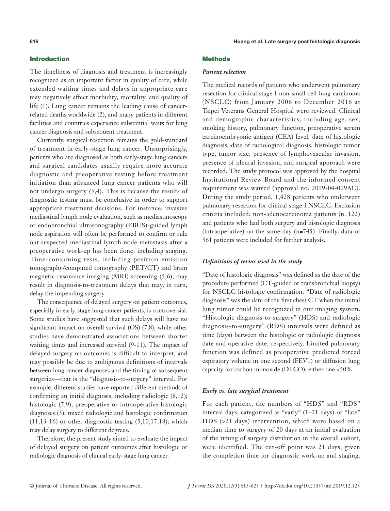The timeliness of diagnosis and treatment is increasingly recognized as an important factor in quality of care, while extended waiting times and delays in appropriate care may negatively affect morbidity, mortality, and quality of life (1). Lung cancer remains the leading cause of cancerrelated deaths worldwide (2), and many patients in different facilities and countries experience substantial waits for lung cancer diagnosis and subsequent treatment.

Currently, surgical resection remains the gold-standard of treatment in early-stage lung cancer. Unsurprisingly, patients who are diagnosed as both early-stage lung cancers and surgical candidates usually require more accurate diagnostic and preoperative testing before treatment initiation than advanced lung cancer patients who will not undergo surgery (3,4). This is because the results of diagnostic testing must be conclusive in order to support appropriate treatment decisions. For instance, invasive mediastinal lymph node evaluation, such as mediastinoscopy or endobronchial ultrasonography (EBUS)-guided lymph node aspiration will often be performed to confirm or rule out suspected mediastinal lymph node metastasis after a preoperative work-up has been done, including staging. Time-consuming tests, including positron emission tomography/computed tomography (PET/CT) and brain magnetic resonance imaging (MRI) screening (5,6), may result in diagnosis-to-treatment delays that may, in turn, delay the impending surgery.

The consequence of delayed surgery on patient outcomes, especially in early-stage lung cancer patients, is controversial. Some studies have suggested that such delays will have no significant impact on overall survival (OS) (7,8), while other studies have demonstrated associations between shorter waiting times and increased survival (9-11). The impact of delayed surgery on outcomes is difficult to interpret, and may possibly be due to ambiguous definitions of intervals between lung cancer diagnoses and the timing of subsequent surgeries—that is the "diagnosis-to-surgery" interval. For example, different studies have reported different methods of confirming an initial diagnosis, including radiologic (8,12); histologic (7,9), preoperative or intraoperative histologic diagnoses (3); mixed radiologic and histologic confirmation  $(11,13-16)$  or other diagnostic testing  $(5,10,17,18)$ ; which may delay surgery to different degrees.

Therefore, the present study aimed to evaluate the impact of delayed surgery on patient outcomes after histologic or radiologic diagnosis of clinical early-stage lung cancer.

# **Methods**

#### *Patient selection*

The medical records of patients who underwent pulmonary resection for clinical stage I non-small cell lung carcinoma (NSCLC) from January 2006 to December 2016 at Taipei Veterans General Hospital were reviewed. Clinical and demographic characteristics, including age, sex, smoking history, pulmonary function, preoperative serum carcinoembryonic antigen (CEA) level, date of histologic diagnosis, date of radiological diagnosis, histologic tumor type, tumor size, presence of lymphovascular invasion, presence of pleural invasion, and surgical approach were recorded. The study protocol was approved by the hospital Institutional Review Board and the informed consent requirement was waived (approval no. 2019-04-009AC). During the study period, 1,428 patients who underwent pulmonary resection for clinical stage I NSCLC. Exclusion criteria included: non-adenocarcinoma patients (n=122) and patients who had both surgery and histologic diagnosis (intraoperative) on the same day (n=745). Finally, data of 561 patients were included for further analysis.

#### *Definitions of terms used in the study*

"Date of histologic diagnosis" was defined as the date of the procedure performed (CT-guided or transbronchial biopsy) for NSCLC histologic confirmation. "Date of radiologic diagnosis" was the date of the first chest CT when the initial lung tumor could be recognized in our imaging system. "Histologic diagnosis-to-surgery" (HDS) and radiologic diagnosis-to-surgery" (RDS) intervals were defined as time (days) between the histologic or radiologic diagnosis date and operative date, respectively. Limited pulmonary function was defined as preoperative predicted forced expiratory volume in one second (FEV1) or diffusion lung capacity for carbon monoxide (DLCO); either one <50%.

#### *Early vs. late surgical treatment*

For each patient, the numbers of "HDS" and "RDS" interval days, categorized as "early" (1–21 days) or "late" HDS (>21 days) intervention, which were based on a median time to surgery of 20 days at an initial evaluation of the timing of surgery distribution in the overall cohort, were identified. The cut-off point was 21 days, given the completion time for diagnostic work-up and staging.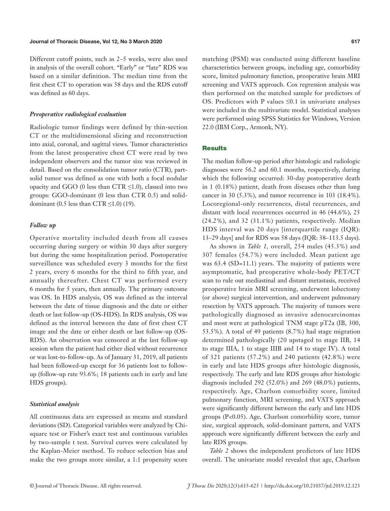Different cutoff points, such as 2–5 weeks, were also used in analysis of the overall cohort. "Early" or "late" RDS was based on a similar definition. The median time from the first chest CT to operation was 58 days and the RDS cutoff was defined as 60 days.

#### *Preoperative radiological evaluation*

Radiologic tumor findings were defined by thin-section CT or the multidimensional slicing and reconstruction into axial, coronal, and sagittal views. Tumor characteristics from the latest preoperative chest CT were read by two independent observers and the tumor size was reviewed in detail. Based on the consolidation tumor ratio (CTR), partsolid tumor was defined as one with both a focal nodular opacity and GGO (0 less than  $CTR \leq 1.0$ ), classed into two groups: GGO-dominant (0 less than CTR 0.5) and soliddominant (0.5 less than  $CTR \le 1.0$ ) (19).

#### *Follow up*

Operative mortality included death from all causes occurring during surgery or within 30 days after surgery but during the same hospitalization period. Postoperative surveillance was scheduled every 3 months for the first 2 years, every 6 months for the third to fifth year, and annually thereafter. Chest CT was performed every 6 months for 5 years, then annually. The primary outcome was OS. In HDS analysis, OS was defined as the interval between the date of tissue diagnosis and the date or either death or last follow-up (OS-HDS). In RDS analysis, OS was defined as the interval between the date of first chest CT image and the date or either death or last follow-up (OS-RDS). An observation was censored at the last follow-up session when the patient had either died without recurrence or was lost-to-follow-up. As of January 31, 2019, all patients had been followed-up except for 36 patients lost to followup (follow-up rate 93.6%; 18 patients each in early and late HDS groups).

#### *Statistical analysis*

All continuous data are expressed as means and standard deviations (SD). Categorical variables were analyzed by Chisquare test or Fisher's exact test and continuous variables by two-sample t test. Survival curves were calculated by the Kaplan-Meier method. To reduce selection bias and make the two groups more similar, a 1:1 propensity score matching (PSM) was conducted using different baseline characteristics between groups, including age, comorbidity score, limited pulmonary function, preoperative brain MRI screening and VATS approach. Cox regression analysis was then performed on the matched sample for predictors of OS. Predictors with P values  $\leq 0.1$  in univariate analyses were included in the multivariate model. Statistical analyses were performed using SPSS Statistics for Windows, Version 22.0 (IBM Corp., Armonk, NY).

#### Results

The median follow-up period after histologic and radiologic diagnoses were 56.2 and 60.1 months, respectively, during which the following occurred: 30-day postoperative death in 1 (0.18%) patient, death from diseases other than lung cancer in 30 (5.3%), and tumor recurrence in 103 (18.4%). Locoregional-only recurrences, distal recurrences, and distant with local recurrences occurred in 46 (44.6%), 25 (24.2%), and 32 (31.1%) patients, respectively. Median HDS interval was 20 days [interquartile range (IQR): 13–29 days] and for RDS was 58 days (IQR: 38–113.5 days).

As shown in *Table 1,* overall, 254 males (45.3%) and 307 females (54.7%) were included. Mean patient age was 63.4 (SD=11.1) years. The majority of patients were asymptomatic, had preoperative whole-body PET/CT scan to rule out mediastinal and distant metastasis, received preoperative brain MRI screening, underwent lobectomy (or above) surgical intervention, and underwent pulmonary resection by VATS approach. The majority of tumors were pathologically diagnosed as invasive adenocarcinomas and most were at pathological TNM stage pT2a (IB, 300, 53.5%). A total of 49 patients (8.7%) had stage migration determined pathologically (20 upstaged to stage IIB, 14 to stage IIIA, 1 to stage IIIB and 14 to stage IV). A total of 321 patients (57.2%) and 240 patients (42.8%) were in early and late HDS groups after histologic diagnosis, respectively. The early and late RDS groups after histologic diagnosis included 292 (52.0%) and 269 (48.0%) patients, respectively. Age, Charlson comorbidity score, limited pulmonary function, MRI screening, and VATS approach were significantly different between the early and late HDS groups (P<0.05). Age, Charlson comorbidity score, tumor size, surgical approach, solid-dominant pattern, and VATS approach were significantly different between the early and late RDS groups.

*Table 2* shows the independent predictors of late HDS overall. The univariate model revealed that age, Charlson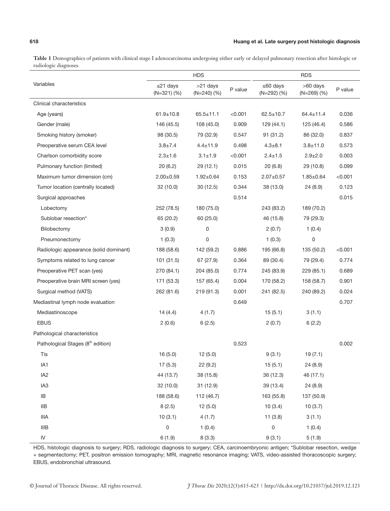**Table 1** Demographics of patients with clinical stage I adenocarcinoma undergoing either early or delayed pulmonary resection after histologic or radiologic diagnoses

|                                               |                               | <b>HDS</b>                |         |                                    | <b>RDS</b>                     |         |  |
|-----------------------------------------------|-------------------------------|---------------------------|---------|------------------------------------|--------------------------------|---------|--|
| Variables                                     | $\leq$ 21 days<br>$(N=321)(%$ | >21 days<br>$(N=240)$ (%) | P value | $\leq 60$ days<br>$(N=292)$ $(\%)$ | $>60$ days<br>$(N=269)$ $(\%)$ | P value |  |
| Clinical characteristics                      |                               |                           |         |                                    |                                |         |  |
| Age (years)                                   | $61.9 \pm 10.8$               | $65.5 \pm 11.1$           | < 0.001 | $62.5 \pm 10.7$                    | $64.4 \pm 11.4$                | 0.036   |  |
| Gender (male)                                 | 146 (45.5)                    | 108 (45.0)                | 0.909   | 129(44.1)                          | 125 (46.4)                     | 0.586   |  |
| Smoking history (smoker)                      | 98 (30.5)                     | 79 (32.9)                 | 0.547   | 91(31.2)                           | 86 (32.0)                      | 0.837   |  |
| Preoperative serum CEA level                  | $3.8 \pm 7.4$                 | $4.4 \pm 11.9$            | 0.498   | $4.3 + 8.1$                        | $3.8 + 11.0$                   | 0.573   |  |
| Charlson comorbidity score                    | $2.3 \pm 1.6$                 | $3.1 \pm 1.9$             | < 0.001 | $2.4 \pm 1.5$                      | $2.9 \pm 2.0$                  | 0.003   |  |
| Pulmonary function (limited)                  | 20 (6.2)                      | 29 (12.1)                 | 0.015   | 20(6.8)                            | 29 (10.8)                      | 0.099   |  |
| Maximum tumor dimension (cm)                  | $2.00 \pm 0.59$               | $1.92 \pm 0.64$           | 0.153   | $2.07 \pm 0.57$                    | $1.85 \pm 0.64$                | < 0.001 |  |
| Tumor location (centrally located)            | 32(10.0)                      | 30(12.5)                  | 0.344   | 38 (13.0)                          | 24 (8.9)                       | 0.123   |  |
| Surgical approaches                           |                               |                           | 0.514   |                                    |                                | 0.015   |  |
| Lobectomy                                     | 252 (78.5)                    | 180 (75.0)                |         | 243 (83.2)                         | 189 (70.2)                     |         |  |
| Sublobar resection*                           | 65 (20.2)                     | 60 (25.0)                 |         | 46 (15.8)                          | 79 (29.3)                      |         |  |
| Bilobectomy                                   | 3(0.9)                        | 0                         |         | 2(0.7)                             | 1(0.4)                         |         |  |
| Pneumonectomy                                 | 1(0.3)                        | 0                         |         | 1(0.3)                             | 0                              |         |  |
| Radiologic appearance (solid dominant)        | 188 (58.6)                    | 142 (59.2)                | 0.886   | 195 (66.8)                         | 135 (50.2)                     | < 0.001 |  |
| Symptoms related to lung cancer               | 101 (31.5)                    | 67 (27.9)                 | 0.364   | 89 (30.4)                          | 79 (29.4)                      | 0.774   |  |
| Preoperative PET scan (yes)                   | 270 (84.1)                    | 204 (85.0)                | 0.774   | 245 (83.9)                         | 229 (85.1)                     | 0.689   |  |
| Preoperative brain MRI screen (yes)           | 171 (53.3)                    | 157 (65.4)                | 0.004   | 170 (58.2)                         | 158 (58.7)                     | 0.901   |  |
| Surgical method (VATS)                        | 262 (81.6)                    | 219 (91.3)                | 0.001   | 241 (82.5)                         | 240 (89.2)                     | 0.024   |  |
| Mediastinal lymph node evaluation             |                               |                           | 0.649   |                                    |                                | 0.707   |  |
| Mediastinoscope                               | 14(4.4)                       | 4(1.7)                    |         | 15(5.1)                            | 3(1.1)                         |         |  |
| <b>EBUS</b>                                   | 2(0.6)                        | 6(2.5)                    |         | 2(0.7)                             | 6(2.2)                         |         |  |
| Pathological characteristics                  |                               |                           |         |                                    |                                |         |  |
| Pathological Stages (8 <sup>th</sup> edition) |                               |                           | 0.523   |                                    |                                | 0.002   |  |
| Tis                                           | 16(5.0)                       | 12(5.0)                   |         | 9(3.1)                             | 19(7.1)                        |         |  |
| IA1                                           | 17(5.3)                       | 22 (9.2)                  |         | 15(5.1)                            | 24 (8.9)                       |         |  |
| IA <sub>2</sub>                               | 44 (13.7)                     | 38 (15.8)                 |         | 36 (12.3)                          | 46 (17.1)                      |         |  |
| IA <sub>3</sub>                               | 32 (10.0)                     | 31 (12.9)                 |         | 39 (13.4)                          | 24 (8.9)                       |         |  |
| IB                                            | 188 (58.6)                    | 112 (46.7)                |         | 163 (55.8)                         | 137 (50.9)                     |         |  |
| <b>IIB</b>                                    | 8(2.5)                        | 12(5.0)                   |         | 10(3.4)                            | 10(3.7)                        |         |  |
| $\ensuremath{\mathsf{IIIA}}\xspace$           | 10(3.1)                       | 4(1.7)                    |         | 11(3.8)                            | 3(1.1)                         |         |  |
| $\ensuremath{\mathsf{IIIB}}$                  | 0                             | 1(0.4)                    |         | 0                                  | 1(0.4)                         |         |  |
| ${\sf IV}$                                    | 6(1.9)                        | 8(3.3)                    |         | 9(3.1)                             | 5(1.9)                         |         |  |

HDS, histologic diagnosis to surgery; RDS, radiologic diagnosis to surgery; CEA, carcinoembryonic antigen; \*Sublobar resection, wedge + segmentectomy; PET, positron emission tomography; MRI, magnetic resonance imaging; VATS, video-assisted thoracoscopic surgery; EBUS, endobronchial ultrasound.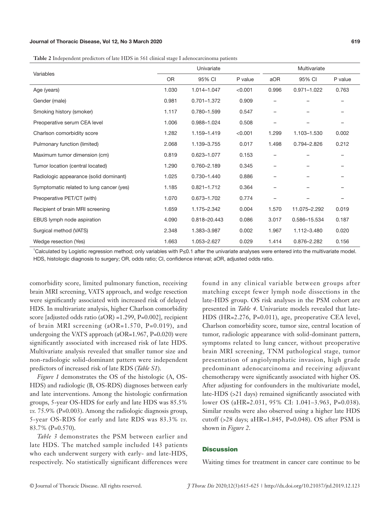#### Journal of Thoracic Disease, Vol 12, No 3 March 2020 619

**Table 2** Independent predictors of late HDS in 561 clinical stage I adenocarcinoma patients

| Variables                                | Univariate |                 |         | Multivariate      |                 |         |
|------------------------------------------|------------|-----------------|---------|-------------------|-----------------|---------|
|                                          | <b>OR</b>  | 95% CI          | P value | aOR               | 95% CI          | P value |
| Age (years)                              | 1.030      | 1.014-1.047     | < 0.001 | 0.996             | $0.971 - 1.022$ | 0.763   |
| Gender (male)                            | 0.981      | $0.701 - 1.372$ | 0.909   |                   |                 |         |
| Smoking history (smoker)                 | 1.117      | 0.780-1.599     | 0.547   | $\qquad \qquad -$ |                 |         |
| Preoperative serum CEA level             | 1.006      | 0.988-1.024     | 0.508   | -                 |                 |         |
| Charlson comorbidity score               | 1.282      | 1.159-1.419     | < 0.001 | 1.299             | 1.103-1.530     | 0.002   |
| Pulmonary function (limited)             | 2.068      | 1.139-3.755     | 0.017   | 1.498             | 0.794-2.826     | 0.212   |
| Maximum tumor dimension (cm)             | 0.819      | 0.623-1.077     | 0.153   |                   |                 |         |
| Tumor location (central located)         | 1.290      | 0.760-2.189     | 0.345   | -                 |                 |         |
| Radiologic appearance (solid dominant)   | 1.025      | 0.730-1.440     | 0.886   | -                 |                 |         |
| Symptomatic related to lung cancer (yes) | 1.185      | $0.821 - 1.712$ | 0.364   |                   |                 |         |
| Preoperative PET/CT (with)               | 1.070      | 0.673-1.702     | 0.774   |                   |                 |         |
| Recipient of brain MRI screening         | 1.659      | 1.175-2.342     | 0.004   | 1.570             | 11.075-2.292    | 0.019   |
| EBUS lymph node aspiration               | 4.090      | 0.818-20.443    | 0.086   | 3.017             | 0.586-15.534    | 0.187   |
| Surgical method (VATS)                   | 2.348      | 1.383-3.987     | 0.002   | 1.967             | 1.112-3.480     | 0.020   |
| Wedge resection (Yes)                    | 1.663      | 1.053-2.627     | 0.029   | 1.414             | 0.876-2.282     | 0.156   |

1 Calculated by Logistic regression method; only variables with P≤0.1 after the univariate analyses were entered into the multivariate model. HDS, histologic diagnosis to surgery; OR, odds ratio; CI, confidence interval; aOR, adjusted odds ratio.

comorbidity score, limited pulmonary function, receiving brain MRI screening, VATS approach, and wedge resection were significantly associated with increased risk of delayed HDS. In multivariate analysis, higher Charlson comorbidity score [adjusted odds ratio (aOR) =1.299, P=0.002], recipient of brain MRI screening (aOR=1.570, P=0.019), and undergoing the VATS approach (aOR=1.967, P=0.020) were significantly associated with increased risk of late HDS. Multivariate analysis revealed that smaller tumor size and non-radiologic solid-dominant pattern were independent predictors of increased risk of late RDS (*Table S1*).

*Figure 1* demonstrates the OS of the histologic (A, OS-HDS) and radiologic (B, OS-RDS) diagnoses between early and late interventions. Among the histologic confirmation groups, 5-year OS-HDS for early and late HDS was 85.5% *vs.* 75.9% (P=0.003). Among the radiologic diagnosis group, 5-year OS-RDS for early and late RDS was 83.3% *vs.* 83.7% (P=0.570).

*Table 3* demonstrates the PSM between earlier and late HDS. The matched sample included 143 patients who each underwent surgery with early- and late-HDS, respectively. No statistically significant differences were found in any clinical variable between groups after matching except fewer lymph node dissections in the late-HDS group. OS risk analyses in the PSM cohort are presented in *Table 4*. Univariate models revealed that late-HDS (HR=2.276, P=0.011), age, preoperative CEA level, Charlson comorbidity score, tumor size, central location of tumor, radiologic appearance with solid-dominant pattern, symptoms related to lung cancer, without preoperative brain MRI screening, TNM pathological stage, tumor presentation of angiolymphatic invasion, high grade predominant adenocarcinoma and receiving adjuvant chemotherapy were significantly associated with higher OS. After adjusting for confounders in the multivariate model, late-HDS (>21 days) remained significantly associated with lower OS (aHR=2.031, 95% CI: 1.041–3.963, P=0.038). Similar results were also observed using a higher late HDS cutoff (>28 days; aHR=1.845, P=0.048). OS after PSM is shown in *Figure 2*.

#### **Discussion**

Waiting times for treatment in cancer care continue to be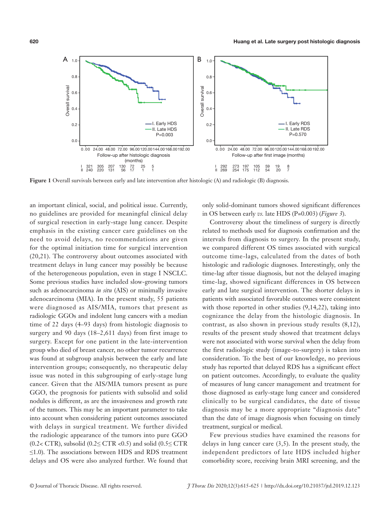

**Figure 1** Overall survivals between early and late intervention after histologic (A) and radiologic (B) diagnosis.

an important clinical, social, and political issue. Currently, no guidelines are provided for meaningful clinical delay of surgical resection in early-stage lung cancer. Despite emphasis in the existing cancer care guidelines on the need to avoid delays, no recommendations are given for the optimal initiation time for surgical intervention (20,21). The controversy about outcomes associated with treatment delays in lung cancer may possibly be because of the heterogeneous population, even in stage I NSCLC. Some previous studies have included slow-growing tumors such as adenocarcinoma *in situ* (AIS) or minimally invasive adenocarcinoma (MIA). In the present study, 55 patients were diagnosed as AIS/MIA, tumors that present as radiologic GGOs and indolent lung cancers with a median time of 22 days (4–93 days) from histologic diagnosis to surgery and 90 days (18–2,611 days) from first image to surgery. Except for one patient in the late-intervention group who died of breast cancer, no other tumor recurrence was found at subgroup analysis between the early and late intervention groups; consequently, no therapeutic delay issue was noted in this subgrouping of early-stage lung cancer. Given that the AIS/MIA tumors present as pure GGO, the prognosis for patients with subsolid and solid nodules is different, as are the invasiveness and growth rate of the tumors. This may be an important parameter to take into account when considering patient outcomes associated with delays in surgical treatment. We further divided the radiologic appearance of the tumors into pure GGO  $(0.2 \lt CTR)$ , subsolid  $(0.2 \leq CTR \lt 0.5)$  and solid  $(0.5 \leq CTR)$  $\leq$ 1.0). The associations between HDS and RDS treatment delays and OS were also analyzed further. We found that

only solid-dominant tumors showed significant differences in OS between early *vs.* late HDS (P=0.003) (*Figure 3*).

Controversy about the timeliness of surgery is directly related to methods used for diagnosis confirmation and the intervals from diagnosis to surgery. In the present study, we compared different OS times associated with surgical outcome time-lags, calculated from the dates of both histologic and radiologic diagnoses. Interestingly, only the time-lag after tissue diagnosis, but not the delayed imaging time-lag, showed significant differences in OS between early and late surgical intervention. The shorter delays in patients with associated favorable outcomes were consistent with those reported in other studies  $(9,14,22)$ , taking into cognizance the delay from the histologic diagnosis. In contrast, as also shown in previous study results (8,12), results of the present study showed that treatment delays were not associated with worse survival when the delay from the first radiologic study (image-to-surgery) is taken into consideration. To the best of our knowledge, no previous study has reported that delayed RDS has a significant effect on patient outcomes. Accordingly, to evaluate the quality of measures of lung cancer management and treatment for those diagnosed as early-stage lung cancer and considered clinically to be surgical candidates, the date of tissue diagnosis may be a more appropriate "diagnosis date" than the date of image diagnosis when focusing on timely treatment, surgical or medical.

Few previous studies have examined the reasons for delays in lung cancer care (3,5). In the present study, the independent predictors of late HDS included higher comorbidity score, receiving brain MRI screening, and the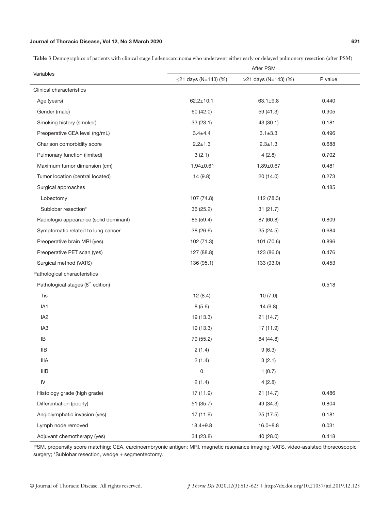# Journal of Thoracic Disease, Vol 12, No 3 March 2020 621

**Table 3** Demographics of patients with clinical stage I adenocarcinoma who underwent either early or delayed pulmonary resection (after PSM)

|                                                                                                    | After PSM            |                      |         |  |  |  |  |
|----------------------------------------------------------------------------------------------------|----------------------|----------------------|---------|--|--|--|--|
| Variables                                                                                          | ≤21 days (N=143) (%) | >21 days (N=143) (%) | P value |  |  |  |  |
| Clinical characteristics                                                                           |                      |                      |         |  |  |  |  |
| Age (years)                                                                                        | $62.2 \pm 10.1$      | $63.1 \pm 9.8$       | 0.440   |  |  |  |  |
| Gender (male)                                                                                      | 60 (42.0)            | 59 (41.3)            | 0.905   |  |  |  |  |
| Smoking history (smoker)                                                                           | 33(23.1)             | 43 (30.1)            | 0.181   |  |  |  |  |
| Preoperative CEA level (ng/mL)                                                                     | $3.4 + 4.4$          | $3.1 \pm 3.3$        | 0.496   |  |  |  |  |
| Charlson comorbidity score                                                                         | $2.2 \pm 1.3$        | $2.3 \pm 1.3$        | 0.688   |  |  |  |  |
| Pulmonary function (limited)                                                                       | 3(2.1)               | 4(2.8)               | 0.702   |  |  |  |  |
| Maximum tumor dimension (cm)                                                                       | $1.94 \pm 0.61$      | $1.89 + 0.67$        | 0.481   |  |  |  |  |
| Tumor location (central located)                                                                   | 14 (9.8)             | 20 (14.0)            | 0.273   |  |  |  |  |
| Surgical approaches                                                                                |                      |                      | 0.485   |  |  |  |  |
| Lobectomy                                                                                          | 107 (74.8)           | 112 (78.3)           |         |  |  |  |  |
| Sublobar resection*                                                                                | 36 (25.2)            | 31(21.7)             |         |  |  |  |  |
| Radiologic appearance (solid dominant)                                                             | 85 (59.4)            | 87 (60.8)            | 0.809   |  |  |  |  |
| Symptomatic related to lung cancer                                                                 | 38 (26.6)            | 35(24.5)             | 0.684   |  |  |  |  |
| Preoperative brain MRI (yes)                                                                       | 102 (71.3)           | 101 (70.6)           | 0.896   |  |  |  |  |
| Preoperative PET scan (yes)                                                                        | 127 (88.8)           | 123 (86.0)           | 0.476   |  |  |  |  |
| Surgical method (VATS)                                                                             | 136 (95.1)           | 133 (93.0)           | 0.453   |  |  |  |  |
| Pathological characteristics                                                                       |                      |                      |         |  |  |  |  |
| Pathological stages (8 <sup>th</sup> edition)                                                      |                      |                      | 0.518   |  |  |  |  |
| Tis                                                                                                | 12(8.4)              | 10(7.0)              |         |  |  |  |  |
| IA1                                                                                                | 8(5.6)               | 14 (9.8)             |         |  |  |  |  |
| IA <sub>2</sub>                                                                                    | 19 (13.3)            | 21(14.7)             |         |  |  |  |  |
| IA <sub>3</sub>                                                                                    | 19 (13.3)            | 17 (11.9)            |         |  |  |  |  |
| IB                                                                                                 | 79 (55.2)            | 64 (44.8)            |         |  |  |  |  |
| <b>IIB</b>                                                                                         | 2(1.4)               | 9(6.3)               |         |  |  |  |  |
| <b>IIIA</b>                                                                                        | 2(1.4)               | 3(2.1)               |         |  |  |  |  |
| $\ensuremath{\mathsf{I\!I}}\xspace\ensuremath{\mathsf{I\!I}}\xspace\ensuremath{\mathsf{B}}\xspace$ | 0                    | 1(0.7)               |         |  |  |  |  |
| ${\sf IV}$                                                                                         | 2(1.4)               | 4(2.8)               |         |  |  |  |  |
| Histology grade (high grade)                                                                       | 17 (11.9)            | 21 (14.7)            | 0.486   |  |  |  |  |
| Differentiation (poorly)                                                                           | 51 (35.7)            | 49 (34.3)            | 0.804   |  |  |  |  |
| Angiolymphatic invasion (yes)                                                                      | 17 (11.9)            | 25(17.5)             | 0.181   |  |  |  |  |
| Lymph node removed                                                                                 | $18.4 \pm 9.8$       | $16.0 + 8.8$         | 0.031   |  |  |  |  |
| Adjuvant chemotherapy (yes)                                                                        | 34 (23.8)            | 40 (28.0)            | 0.418   |  |  |  |  |

PSM, propensity score matching; CEA, carcinoembryonic antigen; MRI, magnetic resonance imaging; VATS, video-assisted thoracoscopic surgery; \*Sublobar resection, wedge + segmentectomy.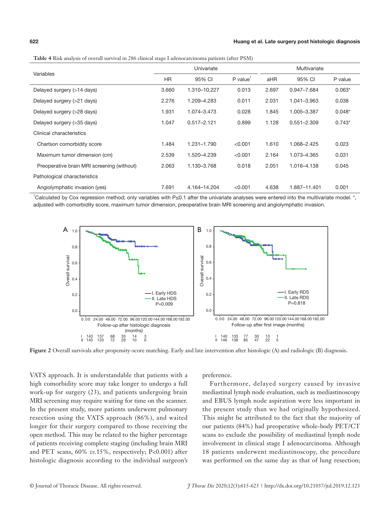| Variables                                  | Univariate |                 |                        | Multivariate |                 |          |
|--------------------------------------------|------------|-----------------|------------------------|--------------|-----------------|----------|
|                                            | <b>HR</b>  | 95% CI          | $P$ value <sup>1</sup> | aHR          | 95% CI          | P value  |
| Delayed surgery (>14 days)                 | 3.660      | 1.310-10.227    | 0.013                  | 2.697        | 0.947-7.684     | $0.063*$ |
| Delayed surgery (>21 days)                 | 2.276      | 1.209-4.283     | 0.011                  | 2.031        | 1.041-3.963     | 0.038    |
| Delayed surgery (>28 days)                 | 1.931      | 1.074-3.473     | 0.028                  | 1.845        | 1.005-3.387     | $0.048*$ |
| Delayed surgery (>35 days)                 | 1.047      | $0.517 - 2.121$ | 0.899                  | 1.128        | $0.551 - 2.309$ | $0.743*$ |
| Clinical characteristics                   |            |                 |                        |              |                 |          |
| Charlson comorbidity score                 | 1.484      | 1.231-1.790     | < 0.001                | 1.610        | 1.068-2.425     | 0.023    |
| Maximum tumor dimension (cm)               | 2.539      | 1.520-4.239     | < 0.001                | 2.164        | 1.073-4.365     | 0.031    |
| Preoperative brain MRI screening (without) | 2.063      | 1.130-3.768     | 0.018                  | 2.051        | 1.016-4.138     | 0.045    |
| Pathological characteristics               |            |                 |                        |              |                 |          |
| Angiolymphatic invasion (yes)              | 7.691      | 4.164-14.204    | < 0.001                | 4.638        | 1.887-11.401    | 0.001    |

**Table 4** Risk analysis of overall survival in 286 clinical stage I adenocarcinoma patients (after PSM)

1 Calculated by Cox regression method; only variables with P≤0.1 after the univariate analyses were entered into the multivariate model. \*, adjusted with comorbidity score, maximum tumor dimension, preoperative brain MRI screening and angiolymphatic invasion.



**Figure 2** Overall survivals after propensity-score matching. Early and late intervention after histologic (A) and radiologic (B) diagnosis.

VATS approach. It is understandable that patients with a high comorbidity score may take longer to undergo a full work-up for surgery (23), and patients undergoing brain MRI screening may require waiting for time on the scanner. In the present study, more patients underwent pulmonary resection using the VATS approach (86%), and waited longer for their surgery compared to those receiving the open method. This may be related to the higher percentage of patients receiving complete staging (including brain MRI and PET scans, 60% *vs.*15%, respectively; P<0.001) after histologic diagnosis according to the individual surgeon's preference.

Furthermore, delayed surgery caused by invasive mediastinal lymph node evaluation, such as mediastinoscopy and EBUS lymph node aspiration were less important in the present study than we had originally hypothesized. This might be attributed to the fact that the majority of our patients (84%) had preoperative whole-body PET/CT scans to exclude the possibility of mediastinal lymph node involvement in clinical stage I adenocarcinoma. Although 18 patients underwent mediastinoscopy, the procedure was performed on the same day as that of lung resection;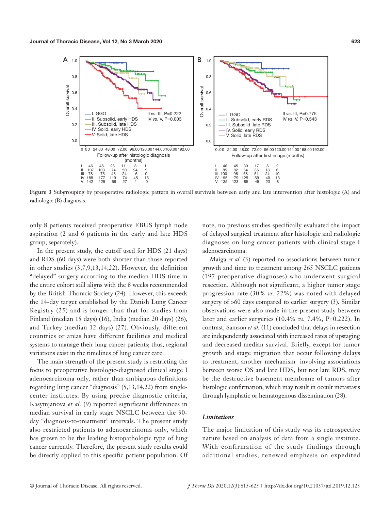

**Figure 3** Subgrouping by preoperative radiologic pattern in overall survivals between early and late intervention after histologic (A) and radiologic (B) diagnosis.

only 8 patients received preoperative EBUS lymph node aspiration (2 and 6 patients in the early and late HDS group, separately).

In the present study, the cutoff used for HDS (21 days) and RDS (60 days) were both shorter than those reported in other studies (3,7,9,13,14,22). However, the definition "delayed" surgery according to the median HDS time in the entire cohort still aligns with the 8 weeks recommended by the British Thoracic Society (24). However, this exceeds the 14-day target established by the Danish Lung Cancer Registry (25) and is longer than that for studies from Finland (median 15 days) (16), India (median 20 days) (26), and Turkey (median 12 days) (27). Obviously, different countries or areas have different facilities and medical systems to manage their lung cancer patients; thus, regional variations exist in the timelines of lung cancer care.

The main strength of the present study is restricting the focus to preoperative histologic-diagnosed clinical stage I adenocarcinoma only, rather than ambiguous definitions regarding lung cancer "diagnosis" (5,13,14,22) from singlecenter institutes. By using precise diagnostic criteria, Kasymjanova *et al.* (9) reported significant differences in median survival in early stage NSCLC between the 30 day "diagnosis-to-treatment" intervals. The present study also restricted patients to adenocarcinoma only, which has grown to be the leading histopathologic type of lung cancer currently. Therefore, the present study results could be directly applied to this specific patient population. Of

note, no previous studies specifically evaluated the impact of delayed surgical treatment after histologic and radiologic diagnoses on lung cancer patients with clinical stage I adenocarcinoma.

Maiga *et al.* (3) reported no associations between tumor growth and time to treatment among 265 NSCLC patients (197 preoperative diagnoses) who underwent surgical resection. Although not significant, a higher tumor stage progression rate (30% *vs.* 22%) was noted with delayed surgery of  $>60$  days compared to earlier surgery (3). Similar observations were also made in the present study between later and earlier surgeries (10.4% *vs.* 7.4%, P=0.222). In contrast, Samson *et al.* (11) concluded that delays in resection are independently associated with increased rates of upstaging and decreased median survival. Briefly, except for tumor growth and stage migration that occur following delays to treatment, another mechanism involving associations between worse OS and late HDS, but not late RDS, may be the destructive basement membrane of tumors after histologic confirmation, which may result in occult metastasis through lymphatic or hematogenous dissemination (28).

#### *Limitations*

The major limitation of this study was its retrospective nature based on analysis of data from a single institute. With confirmation of the study findings through additional studies, renewed emphasis on expedited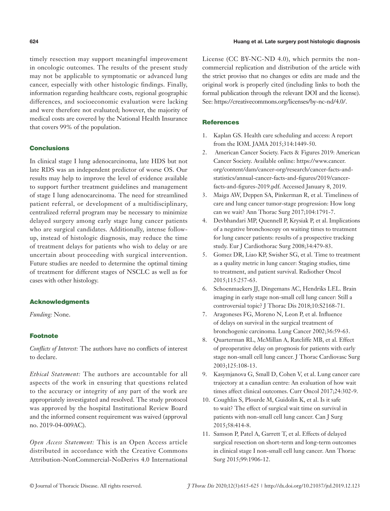timely resection may support meaningful improvement in oncologic outcomes. The results of the present study may not be applicable to symptomatic or advanced lung cancer, especially with other histologic findings. Finally, information regarding healthcare costs, regional geographic differences, and socioeconomic evaluation were lacking and were therefore not evaluated; however, the majority of medical costs are covered by the National Health Insurance that covers 99% of the population.

### **Conclusions**

In clinical stage I lung adenocarcinoma, late HDS but not late RDS was an independent predictor of worse OS. Our results may help to improve the level of evidence available to support further treatment guidelines and management of stage I lung adenocarcinoma. The need for streamlined patient referral, or development of a multidisciplinary, centralized referral program may be necessary to minimize delayed surgery among early stage lung cancer patients who are surgical candidates. Additionally, intense followup, instead of histologic diagnosis, may reduce the time of treatment delays for patients who wish to delay or are uncertain about proceeding with surgical intervention. Future studies are needed to determine the optimal timing of treatment for different stages of NSCLC as well as for cases with other histology.

#### Acknowledgments

*Funding:* None.

# Footnote

*Conflicts of Interest:* The authors have no conflicts of interest to declare.

*Ethical Statement:* The authors are accountable for all aspects of the work in ensuring that questions related to the accuracy or integrity of any part of the work are appropriately investigated and resolved. The study protocol was approved by the hospital Institutional Review Board and the informed consent requirement was waived (approval no. 2019-04-009AC).

*Open Access Statement:* This is an Open Access article distributed in accordance with the Creative Commons Attribution-NonCommercial-NoDerivs 4.0 International

License (CC BY-NC-ND 4.0), which permits the noncommercial replication and distribution of the article with the strict proviso that no changes or edits are made and the original work is properly cited (including links to both the formal publication through the relevant DOI and the license). See: https://creativecommons.org/licenses/by-nc-nd/4.0/.

#### **References**

- 1. Kaplan GS. Health care scheduling and access: A report from the IOM. JAMA 2015;314:1449-50.
- 2. American Cancer Society. Facts & Figures 2019: American Cancer Society. Available online: https://www.cancer. org/content/dam/cancer-org/research/cancer-facts-andstatistics/annual-cancer-facts-and-figures/2019/cancerfacts-and-figures-2019.pdf. Accessed January 8, 2019.
- 3. Maiga AW, Deppen SA, Pinkerman R, et al. Timeliness of care and lung cancer tumor-stage progression: How long can we wait? Ann Thorac Surg 2017;104:1791-7.
- 4. Devbhandari MP, Quennell P, Krysiak P, et al. Implications of a negative bronchoscopy on waiting times to treatment for lung cancer patients: results of a prospective tracking study. Eur J Cardiothorac Surg 2008;34:479-83.
- 5. Gomez DR, Liao KP, Swisher SG, et al. Time to treatment as a quality metric in lung cancer: Staging studies, time to treatment, and patient survival. Radiother Oncol 2015;115:257-63.
- 6. Schoenmaekers JJ, Dingemans AC, Hendriks LEL. Brain imaging in early stage non-small cell lung cancer: Still a controversial topic? J Thorac Dis 2018;10:S2168-71.
- 7. Aragoneses FG, Moreno N, Leon P, et al. Influence of delays on survival in the surgical treatment of bronchogenic carcinoma. Lung Cancer 2002;36:59-63.
- 8. Quarterman RL, McMillan A, Ratcliffe MB, et al. Effect of preoperative delay on prognosis for patients with early stage non-small cell lung cancer. J Thorac Cardiovasc Surg 2003;125:108-13.
- 9. Kasymjanova G, Small D, Cohen V, et al. Lung cancer care trajectory at a canadian centre: An evaluation of how wait times affect clinical outcomes. Curr Oncol 2017;24:302-9.
- 10. Coughlin S, Plourde M, Guidolin K, et al. Is it safe to wait? The effect of surgical wait time on survival in patients with non-small cell lung cancer. Can J Surg 2015;58:414-8.
- 11. Samson P, Patel A, Garrett T, et al. Effects of delayed surgical resection on short-term and long-term outcomes in clinical stage I non-small cell lung cancer. Ann Thorac Surg 2015;99:1906-12.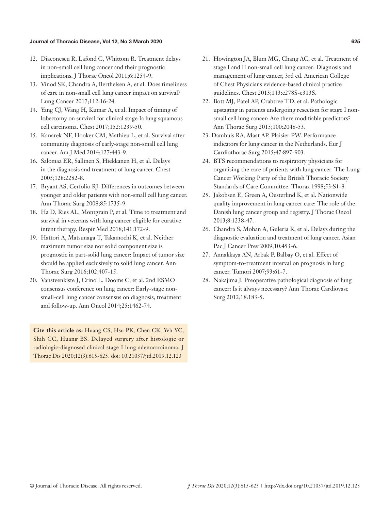#### Journal of Thoracic Disease, Vol 12, No 3 March 2020 625 and the state of the state of the state of the state of the state of the state of the state of the state of the state of the state of the state of the state of the s

- 12. Diaconescu R, Lafond C, Whittom R. Treatment delays in non-small cell lung cancer and their prognostic implications. J Thorac Oncol 2011;6:1254-9.
- 13. Vinod SK, Chandra A, Berthelsen A, et al. Does timeliness of care in non-small cell lung cancer impact on survival? Lung Cancer 2017;112:16-24.
- 14. Yang CJ, Wang H, Kumar A, et al. Impact of timing of lobectomy on survival for clinical stage Ia lung squamous cell carcinoma. Chest 2017;152:1239-50.
- 15. Kanarek NF, Hooker CM, Mathieu L, et al. Survival after community diagnosis of early-stage non-small cell lung cancer. Am J Med 2014;127:443-9.
- 16. Salomaa ER, Sallinen S, Hiekkanen H, et al. Delays in the diagnosis and treatment of lung cancer. Chest 2005;128:2282-8.
- 17. Bryant AS, Cerfolio RJ. Differences in outcomes between younger and older patients with non-small cell lung cancer. Ann Thorac Surg 2008;85:1735-9.
- 18. Ha D, Ries AL, Montgrain P, et al. Time to treatment and survival in veterans with lung cancer eligible for curative intent therapy. Respir Med 2018;141:172-9.
- 19. Hattori A, Matsunaga T, Takamochi K, et al. Neither maximum tumor size nor solid component size is prognostic in part-solid lung cancer: Impact of tumor size should be applied exclusively to solid lung cancer. Ann Thorac Surg 2016;102:407-15.
- 20. Vansteenkiste J, Crino L, Dooms C, et al. 2nd ESMO consensus conference on lung cancer: Early-stage nonsmall-cell lung cancer consensus on diagnosis, treatment and follow-up. Ann Oncol 2014;25:1462-74.

**Cite this article as:** Huang CS, Hsu PK, Chen CK, Yeh YC, Shih CC, Huang BS. Delayed surgery after histologic or radiologic-diagnosed clinical stage I lung adenocarcinoma. J Thorac Dis 2020;12(3):615-625. doi: 10.21037/jtd.2019.12.123

- 21. Howington JA, Blum MG, Chang AC, et al. Treatment of stage I and II non-small cell lung cancer: Diagnosis and management of lung cancer, 3rd ed. American College of Chest Physicians evidence-based clinical practice guidelines. Chest 2013;143:e278S-e313S.
- 22. Bott MJ, Patel AP, Crabtree TD, et al. Pathologic upstaging in patients undergoing resection for stage I nonsmall cell lung cancer: Are there modifiable predictors? Ann Thorac Surg 2015;100:2048-53.
- 23. Damhuis RA, Maat AP, Plaisier PW. Performance indicators for lung cancer in the Netherlands. Eur J Cardiothorac Surg 2015;47:897-903.
- 24. BTS recommendations to respiratory physicians for organising the care of patients with lung cancer. The Lung Cancer Working Party of the British Thoracic Society Standards of Care Committee. Thorax 1998;53:S1-8.
- 25. Jakobsen E, Green A, Oesterlind K, et al. Nationwide quality improvement in lung cancer care: The role of the Danish lung cancer group and registry. J Thorac Oncol 2013;8:1238-47.
- 26. Chandra S, Mohan A, Guleria R, et al. Delays during the diagnostic evaluation and treatment of lung cancer. Asian Pac J Cancer Prev 2009;10:453-6.
- 27. Annakkaya AN, Arbak P, Balbay O, et al. Effect of symptom-to-treatment interval on prognosis in lung cancer. Tumori 2007;93:61-7.
- 28. Nakajima J. Preoperative pathological diagnosis of lung cancer: Is it always necessary? Ann Thorac Cardiovasc Surg 2012;18:183-5.